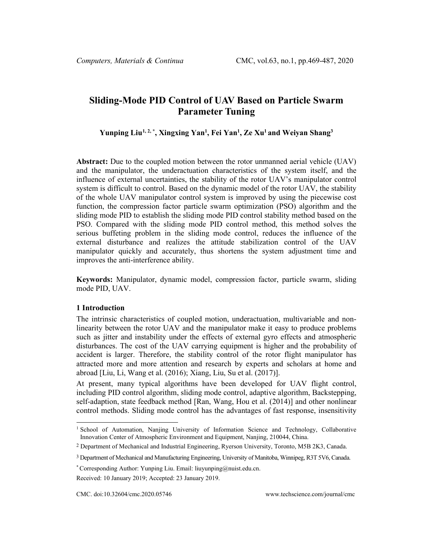# **Sliding-Mode PID Control of UAV Based on Particle Swarm Parameter Tuning**

**Yunping Liu[1](#page-0-0), 2, \* , Xingxing Yan1 , Fei Yan1 , Ze Xu1 and Weiyan Shang3**

**Abstract:** Due to the coupled motion between the rotor unmanned aerial vehicle (UAV) and the manipulator, the underactuation characteristics of the system itself, and the influence of external uncertainties, the stability of the rotor UAV's manipulator control system is difficult to control. Based on the dynamic model of the rotor UAV, the stability of the whole UAV manipulator control system is improved by using the piecewise cost function, the compression factor particle swarm optimization (PSO) algorithm and the sliding mode PID to establish the sliding mode PID control stability method based on the PSO. Compared with the sliding mode PID control method, this method solves the serious buffeting problem in the sliding mode control, reduces the influence of the external disturbance and realizes the attitude stabilization control of the UAV manipulator quickly and accurately, thus shortens the system adjustment time and improves the anti-interference ability.

**Keywords:** Manipulator, dynamic model, compression factor, particle swarm, sliding mode PID, UAV.

## **1 Introduction**

The intrinsic characteristics of coupled motion, underactuation, multivariable and nonlinearity between the rotor UAV and the manipulator make it easy to produce problems such as jitter and instability under the effects of external gyro effects and atmospheric disturbances. The cost of the UAV carrying equipment is higher and the probability of accident is larger. Therefore, the stability control of the rotor flight manipulator has attracted more and more attention and research by experts and scholars at home and abroad [Liu, Li, Wang et al. (2016); Xiang, Liu, Su et al. (2017)].

At present, many typical algorithms have been developed for UAV flight control, including PID control algorithm, sliding mode control, adaptive algorithm, Backstepping, self-adaption, state feedback method [Ran, Wang, Hou et al. (2014)] and other nonlinear control methods. Sliding mode control has the advantages of fast response, insensitivity

<span id="page-0-0"></span><sup>&</sup>lt;sup>1</sup> School of Automation, Nanjing University of Information Science and Technology, Collaborative Innovation Center of Atmospheric Environment and Equipment, Nanjing, 210044, China.

<sup>2</sup> Department of Mechanical and Industrial Engineering, Ryerson University, Toronto, M5B 2K3, Canada.

<sup>3</sup> Department of Mechanical and Manufacturing Engineering, University of Manitoba, Winnipeg, R3T 5V6, Canada.

<sup>\*</sup> Corresponding Author: Yunping Liu. Email: liuyunping@nuist.edu.cn.

Received: 10 January 2019; Accepted: 23 January 2019.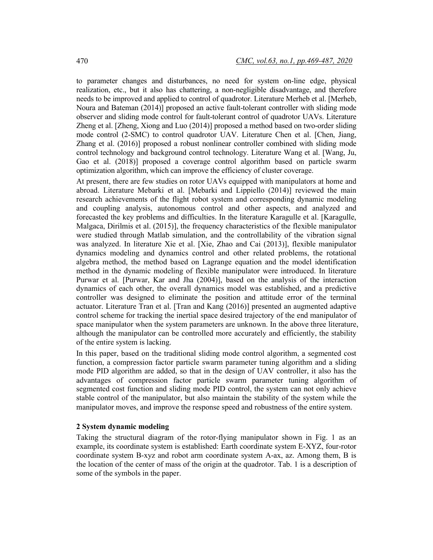to parameter changes and disturbances, no need for system on-line edge, physical realization, etc., but it also has chattering, a non-negligible disadvantage, and therefore needs to be improved and applied to control of quadrotor. Literature Merheb et al. [Merheb, Noura and Bateman (2014)] proposed an active fault-tolerant controller with sliding mode observer and sliding mode control for fault-tolerant control of quadrotor UAVs. Literature Zheng et al. [Zheng, Xiong and Luo (2014)] proposed a method based on two-order sliding mode control (2-SMC) to control quadrotor UAV. Literature Chen et al. [Chen, Jiang, Zhang et al. (2016)] proposed a robust nonlinear controller combined with sliding mode control technology and background control technology. Literature Wang et al. [Wang, Ju, Gao et al. (2018)] proposed a coverage control algorithm based on particle swarm optimization algorithm, which can improve the efficiency of cluster coverage.

At present, there are few studies on rotor UAVs equipped with manipulators at home and abroad. Literature Mebarki et al. [Mebarki and Lippiello (2014)] reviewed the main research achievements of the flight robot system and corresponding dynamic modeling and coupling analysis, autonomous control and other aspects, and analyzed and forecasted the key problems and difficulties. In the literature Karagulle et al. [Karagulle, Malgaca, Dirilmis et al. (2015)], the frequency characteristics of the flexible manipulator were studied through Matlab simulation, and the controllability of the vibration signal was analyzed. In literature Xie et al. [Xie, Zhao and Cai (2013)], flexible manipulator dynamics modeling and dynamics control and other related problems, the rotational algebra method, the method based on Lagrange equation and the model identification method in the dynamic modeling of flexible manipulator were introduced. In literature Purwar et al. [Purwar, Kar and Jha (2004)], based on the analysis of the interaction dynamics of each other, the overall dynamics model was established, and a predictive controller was designed to eliminate the position and attitude error of the terminal actuator. Literature Tran et al. [Tran and Kang (2016)] presented an augmented adaptive control scheme for tracking the inertial space desired trajectory of the end manipulator of space manipulator when the system parameters are unknown. In the above three literature, although the manipulator can be controlled more accurately and efficiently, the stability of the entire system is lacking.

In this paper, based on the traditional sliding mode control algorithm, a segmented cost function, a compression factor particle swarm parameter tuning algorithm and a sliding mode PID algorithm are added, so that in the design of UAV controller, it also has the advantages of compression factor particle swarm parameter tuning algorithm of segmented cost function and sliding mode PID control, the system can not only achieve stable control of the manipulator, but also maintain the stability of the system while the manipulator moves, and improve the response speed and robustness of the entire system.

### **2 System dynamic modeling**

Taking the structural diagram of the rotor-flying manipulator shown in Fig. 1 as an example, its coordinate system is established: Earth coordinate system E-XYZ, four-rotor coordinate system B-xyz and robot arm coordinate system A-ax, az. Among them, B is the location of the center of mass of the origin at the quadrotor. Tab. 1 is a description of some of the symbols in the paper.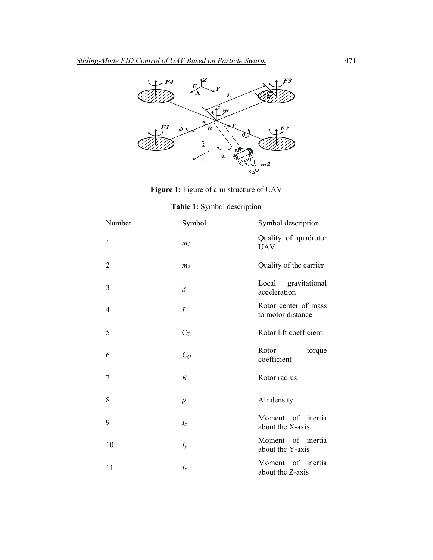

**Figure 1:** Figure of arm structure of UAV

**Table 1:** Symbol description

| Number         | Symbol         | Symbol description                          |
|----------------|----------------|---------------------------------------------|
| $\mathbf{1}$   | m <sub>l</sub> | Quality of quadrotor<br><b>UAV</b>          |
| $\overline{2}$ | m <sub>2</sub> | Quality of the carrier                      |
| 3              | g              | Local gravitational<br>acceleration         |
| 4              | L              | Rotor center of mass<br>to motor distance   |
| 5              | $C_T$          | Rotor lift coefficient                      |
| 6              | $C_Q$          | Rotor<br>torque<br>coefficient              |
| 7              | $\overline{R}$ | Rotor radius                                |
| 8              | $\rho$         | Air density                                 |
| 9              | $I_{x}$        | Moment of inertia<br>about the X-axis       |
| 10             | $I_{y}$        | Moment<br>of<br>inertia<br>about the Y-axis |
| 11             | I <sub>z</sub> | of inertia<br>Moment<br>about the Z-axis    |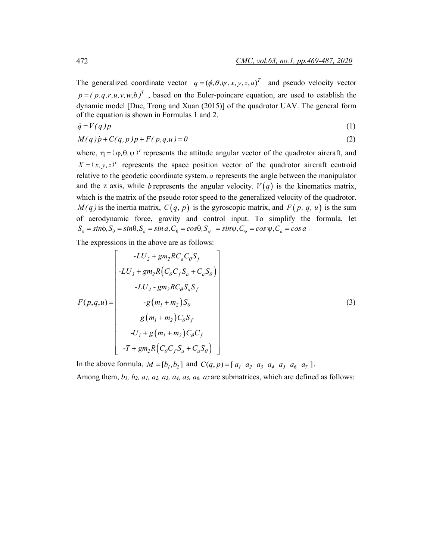The generalized coordinate vector  $q = (\phi, \theta, \psi, x, y, z, a)^T$  and pseudo velocity vector  $p = (p,q,r,u,v,w,b)^T$ , based on the Euler-poincare equation, are used to establish the dynamic model [Duc, Trong and Xuan (2015)] of the quadrotor UAV. The general form of the equation is shown in Formulas 1 and 2.

$$
\dot{q} = V(q)p \tag{1}
$$

$$
M(q)\dot{p} + C(q,p)p + F(p,q,u) = 0\tag{2}
$$

where,  $\eta = (\varphi, \theta, \psi)^T$  represents the attitude angular vector of the quadrotor aircraft, and  $X = (x, y, z)^T$  represents the space position vector of the quadrotor aircraft centroid relative to the geodetic coordinate system. *a* represents the angle between the manipulator and the z axis, while *b* represents the angular velocity.  $V(q)$  is the kinematics matrix, which is the matrix of the pseudo rotor speed to the generalized velocity of the quadrotor.  $M(q)$  is the inertia matrix,  $C(q, p)$  is the gyroscopic matrix, and  $F(p, q, u)$  is the sum of aerodynamic force, gravity and control input. To simplify the formula, let  $S_{\phi} = sin\phi, S_{\theta} = sin\theta, S_{a} = sin\alpha, C_{\theta} = cos\theta, S_{\psi} = sin\psi, C_{\psi} = cos\psi, C_{a} = cos\alpha$ .

The expressions in the above are as follows:

$$
F(p,q,u) = \begin{bmatrix} -LU_2 + gm_2RC_aC_\theta S_f \\ -LU_3 + gm_2R(C_\theta C_f S_a + C_a S_\theta) \\ -LU_4 - gm_2RC_\theta S_a S_f \\ -g(m_1 + m_2)S_\theta \\ g(m_1 + m_2)C_\theta S_f \\ -U_1 + g(m_1 + m_2)C_\theta C_f \\ -T + gm_2R(C_\theta C_f S_a + C_a S_\theta) \end{bmatrix}
$$
(3)

In the above formula,  $M = [b_1, b_2]$  and  $C(q, p) = [a_1 \ a_2 \ a_3 \ a_4 \ a_5 \ a_6 \ a_7].$ 

Among them,  $b_1$ ,  $b_2$ ,  $a_1$ ,  $a_2$ ,  $a_3$ ,  $a_4$ ,  $a_5$ ,  $a_6$ ,  $a_7$  are submatrices, which are defined as follows: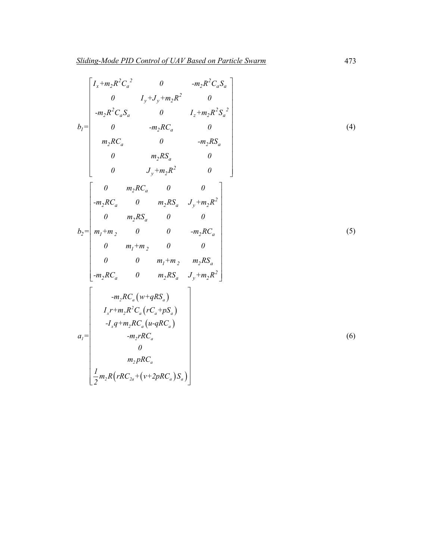$$
b_{1} = \begin{bmatrix} I_{x} + m_{2}R^{2}C_{a}^{2} & 0 & -m_{2}R^{2}C_{a}S_{a} \\ 0 & I_{y} + J_{y} + m_{2}R^{2} & 0 \\ -m_{2}R^{2}C_{a}S_{a} & 0 & I_{z} + m_{2}R^{2}S_{a}^{2} \\ 0 & -m_{2}RC_{a} & 0 \\ m_{2}RC_{a} & 0 & -m_{2}RS_{a} \\ 0 & m_{2}RS_{a} & 0 \\ 0 & J_{y} + m_{2}R^{2} & 0 \end{bmatrix}
$$
\n
$$
b_{2} = \begin{bmatrix} 0 & m_{2}RC_{a} & 0 & 0 \\ -m_{2}RC_{a} & 0 & m_{2}RS_{a} & J_{y} + m_{2}R^{2} \\ m_{1} + m_{2} & 0 & 0 & -m_{2}RC_{a} \\ m_{1} + m_{2} & 0 & 0 & 0 \\ 0 & m_{1} + m_{2} & 0 & 0 \\ 0 & m_{1} + m_{2} & m_{2}RS_{a} & J_{y} + m_{2}R^{2} \end{bmatrix}
$$
\n
$$
-m_{2}RC_{a} & 0 & m_{2}RS_{a} & J_{y} + m_{2}R^{2} \end{bmatrix}
$$
\n
$$
a_{1} = \begin{bmatrix} -m_{1}RC_{a}(w + qRS_{a}) \\ I_{x} + m_{2}RC_{a}(w - qRS_{a}) \\ I_{x} + m_{2}RC_{a}(u - qRC_{a}) \\ -m_{2}RC_{a} & -m_{2}RC_{a} \\ 0 \\ m_{2}RC_{a} & 0 \end{bmatrix}
$$
\n
$$
a_{1} = \begin{bmatrix} 0 & 0 \\ 0 & m_{2}RC_{a} \\ -m_{2}RC_{a} & 0 \end{bmatrix}
$$
\n
$$
a_{2} = \begin{bmatrix} 0 & 0 \\ 0 & m_{2}RC_{a} \\ -m_{2}RC_{a} & 0 \end{bmatrix}
$$
\n
$$
a_{3} = \begin{bmatrix} 0 & 0 \\ 0 & m_{3}RC_{a} \\ 0 & m_{3}RC_{a} \end{bmatrix}
$$
\n
$$
a_{4} = \begin{bmatrix} 0 & 0 \\ 0 & m_{2}RC_{a} \\ 0 & m_{3}RC
$$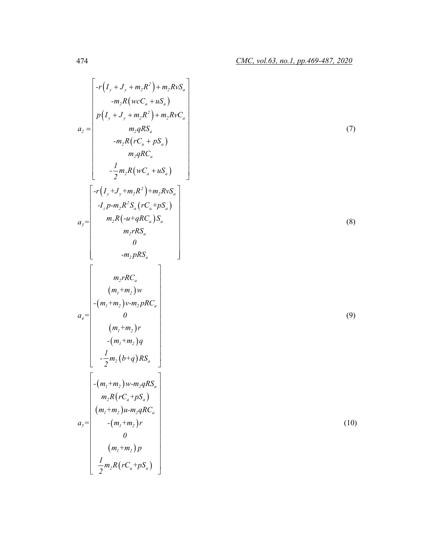$$
r_{1}(I_{y} + J_{y} + m_{2}R^{2}) + m_{2}RxS_{a}
$$
\n
$$
= \begin{bmatrix}\nr(I_{y} + J_{y} + m_{2}R^{2}) + m_{2}RxS_{a} \\
m_{1}R(xC_{a} + uS_{a}) \\
m_{2}qRS_{a} \\
m_{3}R(x_{a} + pS_{a})\n\end{bmatrix}
$$
\n
$$
= \begin{bmatrix}\nr(I_{y} + J_{y} + m_{2}R^{2}) + m_{2}RxC_{a} \\
m_{2}R(x_{a} + pS_{a})\n\end{bmatrix}
$$
\n
$$
= \begin{bmatrix}\nr(I_{y} + J_{y} + m_{2}R^{2}) + m_{2}RxS_{a} \\
-I_{z}p-m_{2}R(x_{a} + pS_{a})\n\end{bmatrix}
$$
\n
$$
a_{3} = \begin{bmatrix}\nr(I_{y} + J_{y} + m_{2}R^{2}) + m_{2}RxS_{a} \\
m_{2}R(x_{a} + pRC_{a})S_{a} \\
m_{2}pRS_{a} \\
m_{3}pRS_{a}\n\end{bmatrix}
$$
\n
$$
a_{4} = \begin{bmatrix}\nm_{1}rRC_{a} \\
(m_{1} + m_{2})w \\
(m_{1} + m_{2})w\n\end{bmatrix}
$$
\n
$$
= \begin{bmatrix}\nm_{1}rRC_{a} \\
(m_{1} + m_{2})w-m_{2}qRC_{a} \\
m_{2}R(rC_{a} + pS_{a})\n\end{bmatrix}
$$
\n
$$
a_{1} = \begin{bmatrix}\n-(m_{1} + m_{2})w-m_{2}qRS_{a} \\
m_{2}R(rC_{a} + pS_{a}) \\
m_{3}R(rC_{a} + pS_{a})\n\end{bmatrix}
$$
\n
$$
a_{2} = \begin{bmatrix}\n-(m_{1} + m_{2})w-m_{2}qRC_{a} \\
m_{1} + m_{2}pRC_{a} \\
(m_{1} + m_{2})p\n\end{bmatrix}
$$
\n
$$
= \begin{bmatrix}\nm_{1} + m_{2}pR(x_{a} + pS_{a}) \\
(m_{1} + m_{2})p\n\end{bmatrix}
$$
\n(10)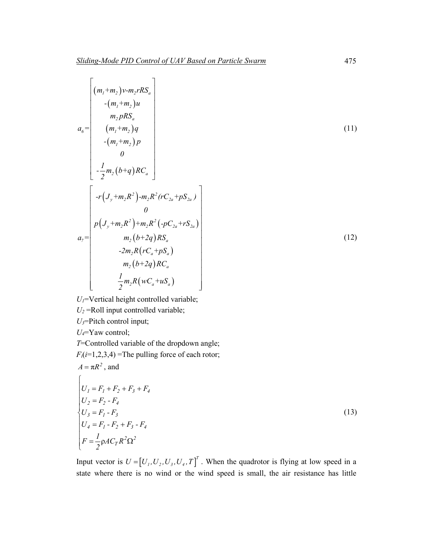$$
\begin{pmatrix}\n(m_1+m_2)v-m_2rRS_a \\
-(m_1+m_2)u \\
m_2pRS_a \\
(m_1+m_2)q \\
0 \\
-(m_1+m_2)p\n\end{pmatrix}
$$
\n(11)  
\n
$$
-\frac{1}{2}m_2(b+q)RC_a
$$
\n
$$
\begin{bmatrix}\n-r(J_y+m_2R^2)-m_2R^2(rC_{2a}+pS_{2a}) \\
0 \\
p(J_y+m_2R^2)+m_2R^2(-pC_{2a}+rS_{2a})\n\end{bmatrix}
$$
\n
$$
a_7=\begin{bmatrix}\n0\\p(J_y+m_2R^2)+m_2R^2(-pC_{2a}+rS_{2a}) \\
0\\m_2(b+2q)RS_a\\-2m_2R(rC_a+pS_a) \\
m_2(b+2q)RC_a\n\end{bmatrix}
$$
\n(12)

*U1*=Vertical height controlled variable;

 $U_2$  =Roll input controlled variable;

*U3*=Pitch control input;

*U4*=Yaw control;

 $A = \pi R^2$ , and

*T*=Controlled variable of the dropdown angle;  $F_i(i=1,2,3,4)$  =The pulling force of each rotor;

$$
\begin{cases}\nU_1 = F_1 + F_2 + F_3 + F_4 \\
U_2 = F_2 - F_4 \\
U_3 = F_1 - F_3 \\
U_4 = F_1 - F_2 + F_3 - F_4 \\
F = \frac{1}{2} \rho A C_T R^2 \Omega^2\n\end{cases}
$$
\n(13)

Input vector is  $U = [U_1, U_2, U_3, U_4, T]^T$ . When the quadrotor is flying at low speed in a state where there is no wind or the wind speed is small, the air resistance has little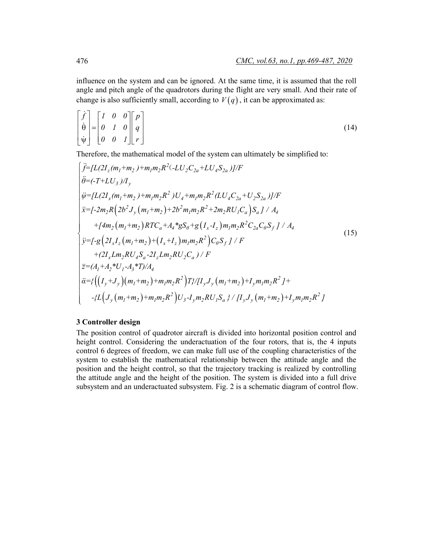influence on the system and can be ignored. At the same time, it is assumed that the roll angle and pitch angle of the quadrotors during the flight are very small. And their rate of change is also sufficiently small, according to  $V(q)$ , it can be approximated as:

$$
\begin{bmatrix} \dot{f} \\ \dot{\theta} \\ \dot{\psi} \end{bmatrix} = \begin{bmatrix} I & 0 & 0 \\ 0 & I & 0 \\ 0 & 0 & I \end{bmatrix} \begin{bmatrix} p \\ q \\ r \end{bmatrix}
$$
\n(14)

Therefore, the mathematical model of the system can ultimately be simplified to:

$$
\begin{cases}\n\ddot{f}=[L(2I_{z}(m_{1}+m_{2})+m_{1}m_{2}R^{2}(-LU_{2}C_{2a}+LU_{4}S_{2a})]/F \\
\ddot{\theta}=(-T+LU_{3})/I_{y} \\
\ddot{\psi}=[L(2I_{x}(m_{1}+m_{2})+m_{1}m_{2}R^{2})U_{4}+m_{1}m_{2}R^{2}(LU_{4}C_{2a}+U_{2}S_{2a})]/F \\
\ddot{x}=[-2m_{2}R(2b^{2}J_{y}(m_{1}+m_{2})+2b^{2}m_{1}m_{2}R^{2}+2m_{2}RU_{1}C_{a})S_{a}]/A_{4} \\
\qquad+(4m_{2}(m_{1}+m_{2})RTC_{a}+A_{4}^{*}gS_{\theta}+g(I_{x}-I_{z})m_{1}m_{2}R^{2}C_{2a}C_{\theta}S_{f}/A_{4} \\
\ddot{y}=[-g(2I_{x}I_{z}(m_{1}+m_{2})+(I_{x}+I_{z})m_{1}m_{2}R^{2})C_{\theta}S_{f}/F \\
\qquad+(2I_{x}Lm_{2}RU_{4}S_{a}-2I_{z}Lm_{2}RU_{2}C_{a})/F \\
\qquad+(2I_{x}Lm_{2}RU_{4}S_{a}-2I_{z}Lm_{2}RU_{2}C_{a})/F \\
\frac{\partial}{\partial t}=\left\{\left((I_{y}+J_{y})(m_{1}+m_{2})+m_{1}m_{2}R^{2}\right)T\right\}/[I_{y}J_{y}(m_{1}+m_{2})+I_{y}m_{1}m_{2}R^{2}+H_{y}L_{y}L_{y}(m_{1}+m_{2})+I_{y}m_{1}m_{2}R^{2}+H_{y}L_{y}(m_{1}+m_{2})+I_{y}m_{1}m_{2}R^{2}+H_{y}L_{y}(m_{1}+m_{2})+I_{y}m_{1}m_{2}R^{2}+H_{y}L_{y}(m_{1}+m_{2})+I_{y}m_{1}m_{2}R^{2}+H_{y}L_{y}(m_{1}+m_{2})+I_{y}L_{y}L_{y}(m_{1}+m_{2})+I_{y}L_{y}L_{y}(m_{1}+m_{2})+I_{y}L_{y
$$

### **3 Controller design**

The position control of quadrotor aircraft is divided into horizontal position control and height control. Considering the underactuation of the four rotors, that is, the 4 inputs control 6 degrees of freedom, we can make full use of the coupling characteristics of the system to establish the mathematical relationship between the attitude angle and the position and the height control, so that the trajectory tracking is realized by controlling the attitude angle and the height of the position. The system is divided into a full drive subsystem and an underactuated subsystem. Fig. 2 is a schematic diagram of control flow.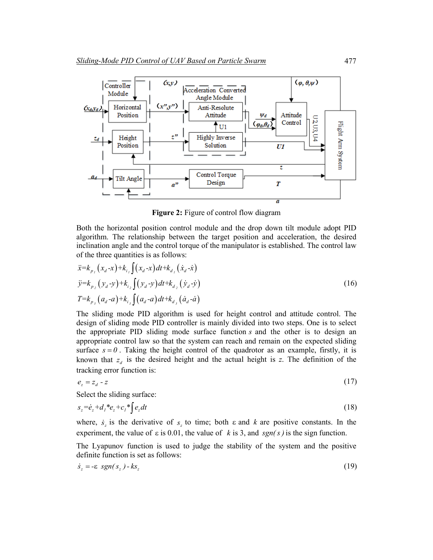

**Figure 2:** Figure of control flow diagram

Both the horizontal position control module and the drop down tilt module adopt PID algorithm. The relationship between the target position and acceleration, the desired inclination angle and the control torque of the manipulator is established. The control law of the three quantities is as follows:

$$
\ddot{x} = k_{p_i} (x_a - x) + k_{i_i} \int (x_a - x) dt + k_{d_i} (\dot{x}_a - \dot{x})
$$
  
\n
$$
\ddot{y} = k_{p_2} (y_a - y) + k_{i_2} \int (y_a - y) dt + k_{d_2} (\dot{y}_a - \dot{y})
$$
  
\n
$$
T = k_{p_3} (a_a - a) + k_{i_3} \int (a_a - a) dt + k_{d_3} (\dot{a}_a - \dot{a})
$$
\n(16)

The sliding mode PID algorithm is used for height control and attitude control. The design of sliding mode PID controller is mainly divided into two steps. One is to select the appropriate PID sliding mode surface function *s* and the other is to design an appropriate control law so that the system can reach and remain on the expected sliding surface  $s = 0$ . Taking the height control of the quadrotor as an example, firstly, it is known that  $z_d$  is the desired height and the actual height is  $z$ . The definition of the tracking error function is:

$$
e_z = z_d - z \tag{17}
$$

Select the sliding surface:

$$
s_z = \dot{e}_z + d_l * e_z + c_l * \int e_z dt \tag{18}
$$

where,  $\dot{s}_z$  is the derivative of  $s_z$  to time; both  $\varepsilon$  and  $k$  are positive constants. In the experiment, the value of ε is 0.01, the value of *k* is 3, and *sgn( s )* is the sign function.

The Lyapunov function is used to judge the stability of the system and the positive definite function is set as follows:

$$
\dot{s}_z = -\varepsilon \; sgn(s_z) - k s_z \tag{19}
$$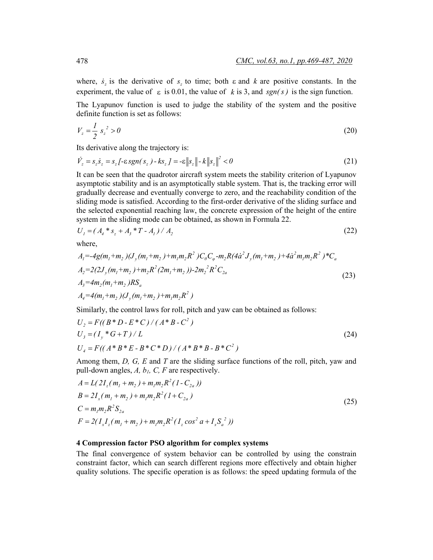where,  $\dot{s}$ , is the derivative of  $s$ , to time; both  $\varepsilon$  and  $k$  are positive constants. In the experiment, the value of  $\varepsilon$  is 0.01, the value of k is 3, and  $sgn(s)$  is the sign function.

The Lyapunov function is used to judge the stability of the system and the positive definite function is set as follows:

$$
V_z = \frac{1}{2} s_z^2 > 0 \tag{20}
$$

Its derivative along the trajectory is:

$$
\dot{V}_z = s_z \dot{s}_z = s_z \left[ -\varepsilon sgn(s_z) - k s_z \right] = -\varepsilon \|s_z\| - k \|s_z\|^2 < 0 \tag{21}
$$

It can be seen that the quadrotor aircraft system meets the stability criterion of Lyapunov asymptotic stability and is an asymptotically stable system. That is, the tracking error will gradually decrease and eventually converge to zero, and the reachability condition of the sliding mode is satisfied. According to the first-order derivative of the sliding surface and the selected exponential reaching law, the concrete expression of the height of the entire system in the sliding mode can be obtained, as shown in Formula 22.

$$
U_1 = (A_4 * s_z + A_3 * T - A_1) / A_2
$$
\n(22)

where,

$$
A_{1} = -4g(m_{1} + m_{2})(J_{y}(m_{1} + m_{2}) + m_{1}m_{2}R^{2})C_{\theta}C_{\varphi} - m_{2}R(4\dot{a}^{2}J_{y}(m_{1} + m_{2}) + 4\dot{a}^{2}m_{1}m_{2}R^{2})^{*}C_{a}
$$
  
\n
$$
A_{2} = 2(2J_{y}(m_{1} + m_{2}) + m_{2}R^{2}(2m_{1} + m_{2})) - 2m_{2}^{2}R^{2}C_{2a}
$$
  
\n
$$
A_{3} = 4m_{2}(m_{1} + m_{2})RS_{a}
$$
  
\n
$$
A_{4} = 4(m_{1} + m_{2})(J_{y}(m_{1} + m_{2}) + m_{1}m_{2}R^{2})
$$
\n(23)

Similarly, the control laws for roll, pitch and yaw can be obtained as follows:

$$
U_2 = F((B*D - E*C)/(A*B - C^2)
$$
  
\n
$$
U_3 = (I_y * G + T)/L
$$
  
\n
$$
U_4 = F((A*B * E - B*C * D)/(A*B * B - B*C^2)
$$
\n(24)

Among them, *D, G, E* and *T* are the sliding surface functions of the roll, pitch, yaw and pull-down angles,  $A$ ,  $b<sub>l</sub>$ ,  $C$ ,  $F$  are respectively.

$$
A = L(2I_z(m_1 + m_2) + m_1m_2R^2(1 - C_{2a}))
$$
  
\n
$$
B = 2I_x(m_1 + m_2) + m_1m_2R^2(1 + C_{2a})
$$
  
\n
$$
C = m_1m_2R^2S_{2a}
$$
  
\n
$$
F = 2(I_xI_z(m_1 + m_2) + m_1m_2R^2(I_z \cos^2 \alpha + I_xS_a^2))
$$
\n(25)

# **4 Compression factor PSO algorithm for complex systems**

The final convergence of system behavior can be controlled by using the constrain constraint factor, which can search different regions more effectively and obtain higher quality solutions. The specific operation is as follows: the speed updating formula of the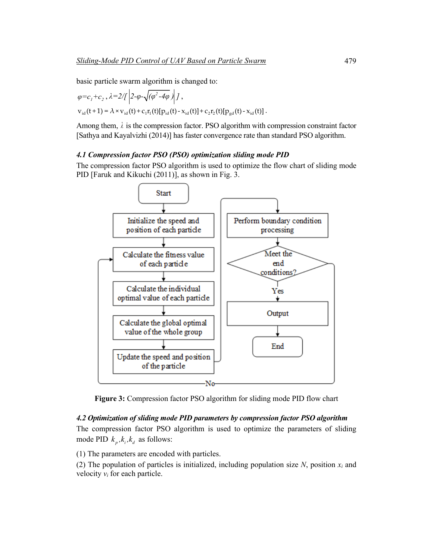basic particle swarm algorithm is changed to:

$$
\varphi = c_1 + c_2, \lambda = 2 / \sqrt{2 - \varphi - \sqrt{(\varphi^2 - 4\varphi)}} / J,
$$
  
\n
$$
v_{id}(t+1) = \lambda \times v_{id}(t) + c_1 r_1(t) [p_{id}(t) - x_{id}(t)] + c_2 r_2(t) [p_{gd}(t) - x_{id}(t)].
$$

Among them,  $\lambda$  is the compression factor. PSO algorithm with compression constraint factor [Sathya and Kayalvizhi (2014)] has faster convergence rate than standard PSO algorithm.

### *4.1 Compression factor PSO (PSO) optimization sliding mode PID*

The compression factor PSO algorithm is used to optimize the flow chart of sliding mode PID [Faruk and Kikuchi (2011)], as shown in Fig. 3.



**Figure 3:** Compression factor PSO algorithm for sliding mode PID flow chart

# *4.2 Optimization of sliding mode PID parameters by compression factor PSO algorithm*

The compression factor PSO algorithm is used to optimize the parameters of sliding mode PID  $k_n, k_i, k_j$  as follows:

(1) The parameters are encoded with particles.

(2) The population of particles is initialized, including population size  $N$ , position  $x_i$  and velocity  $v_i$  for each particle.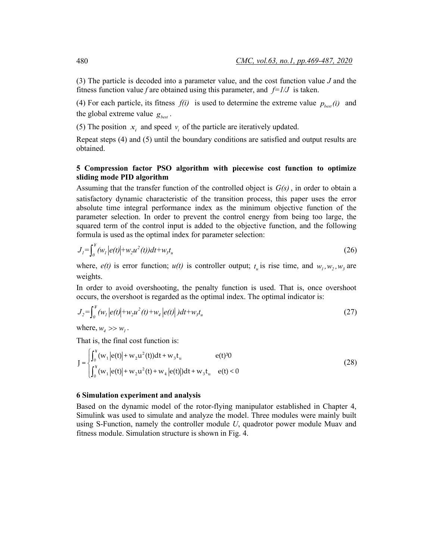(3) The particle is decoded into a parameter value, and the cost function value *J* and the fitness function value *f* are obtained using this parameter, and  $f=1/J$  is taken.

(4) For each particle, its fitness  $f(i)$  is used to determine the extreme value  $p_{best}(i)$  and the global extreme value  $g_{best}$ .

(5) The position  $x_i$  and speed  $v_i$  of the particle are iteratively updated.

Repeat steps (4) and (5) until the boundary conditions are satisfied and output results are obtained.

# **5 Compression factor PSO algorithm with piecewise cost function to optimize sliding mode PID algorithm**

Assuming that the transfer function of the controlled object is *G(s)* , in order to obtain a satisfactory dynamic characteristic of the transition process, this paper uses the error absolute time integral performance index as the minimum objective function of the parameter selection. In order to prevent the control energy from being too large, the squared term of the control input is added to the objective function, and the following formula is used as the optimal index for parameter selection:

$$
J_{1} = \int_{0}^{x} (w_{1} | e(t) | + w_{2} u^{2}(t)) dt + w_{3} t_{u}
$$
 (26)

where,  $e(t)$  is error function;  $u(t)$  is controller output;  $t<sub>u</sub>$  is rise time, and  $w<sub>1</sub>, w<sub>2</sub>, w<sub>3</sub>$  are weights.

In order to avoid overshooting, the penalty function is used. That is, once overshoot occurs, the overshoot is regarded as the optimal index. The optimal indicator is:

$$
J_2 = \int_0^{\frac{u}{s}} (w_1 | e(t) | + w_2 u^2(t) + w_4 | e(t) | ) dt + w_3 t_u
$$
\n(27)

where,  $w_i \gg w_i$ .

That is, the final cost function is:

$$
J = \begin{cases} \int_0^x (w_1 |e(t)| + w_2 u^2(t)) dt + w_3 t_u & e(t)^3 0 \\ \int_0^x (w_1 |e(t)| + w_2 u^2(t) + w_4 |e(t)|) dt + w_3 t_u & e(t) < 0 \end{cases}
$$
(28)

#### **6 Simulation experiment and analysis**

Based on the dynamic model of the rotor-flying manipulator established in Chapter 4, Simulink was used to simulate and analyze the model. Three modules were mainly built using S-Function, namely the controller module *U*, quadrotor power module Muav and fitness module. Simulation structure is shown in Fig. 4.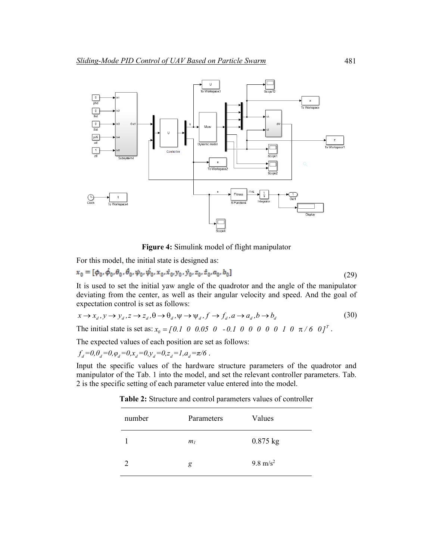

**Figure 4:** Simulink model of flight manipulator

For this model, the initial state is designed as:

$$
x_0 = [\phi_0, \dot{\phi}_0, \theta_0, \theta_0, \psi_0, \dot{\psi}_0, x_0, \dot{x}_0, y_0, \dot{y}_0, z_0, \dot{z}_0, a_0, b_0]
$$
\n(29)

It is used to set the initial yaw angle of the quadrotor and the angle of the manipulator deviating from the center, as well as their angular velocity and speed. And the goal of expectation control is set as follows:

$$
x \to x_d, y \to y_d, z \to z_d, \theta \to \theta_d, \psi \to \psi_d, f \to f_d, a \to a_d, b \to b_d
$$
\n
$$
(30)
$$

The initial state is set as:  $x_0 = [0.1 \ 0 \ 0.05 \ 0 \ -0.1 \ 0 \ 0 \ 0 \ 0 \ 0 \ 1 \ 0 \ \pi/6 \ 0]^T$ .

The expected values of each position are set as follows:

 $f_d = 0, \theta_d = 0, \varphi_d = 0, x_d = 0, y_d = 0, z_d = 1, a_d = \pi/6$ .

Input the specific values of the hardware structure parameters of the quadrotor and manipulator of the Tab. 1 into the model, and set the relevant controller parameters. Tab. 2 is the specific setting of each parameter value entered into the model.

**Table 2:** Structure and control parameters values of controller

| number | Parameters     | Values              |
|--------|----------------|---------------------|
|        | m <sub>l</sub> | $0.875$ kg          |
|        | g              | $9.8 \text{ m/s}^2$ |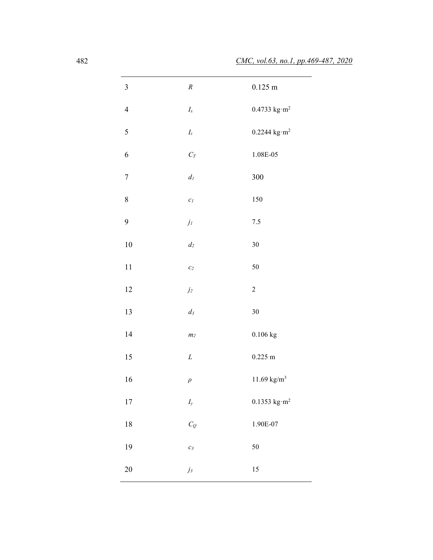| $\mathfrak{Z}$ | $\cal R$                             | $0.125 \; m$                              |
|----------------|--------------------------------------|-------------------------------------------|
| $\overline{4}$ | $I_x$                                | $0.4733~\mathrm{kg}\ \mathrm{m}^2$        |
| 5              | $I_z$                                | $0.2244 \text{ kg} \cdot \text{m}^2$      |
| 6              | $C_T$                                | $1.08E-05$                                |
| $\sqrt{ }$     | $d_{I}$                              | 300                                       |
| $\,8\,$        | $\mathcal{C}_I$                      | 150                                       |
| 9              | $\ensuremath{j_{\textit{l}}}\xspace$ | $7.5\,$                                   |
| $10\,$         | $d_2$                                | $30\,$                                    |
| $11\,$         | $\mathcal{C}2$                       | 50                                        |
| 12             | $\dot{\jmath}_2$                     | $\sqrt{2}$                                |
| 13             | $d_3$                                | $30\,$                                    |
| 14             | $\boldsymbol{m}_2$                   | $0.106$ kg                                |
| 15             | L                                    | $0.225$ m                                 |
| 16             | $\rho$                               | $11.69$ $\mathrm{kg/m^3}$                 |
| $17\,$         | $I_{y}$                              | $0.1353~\mathrm{kg}\!\cdot\!\mathrm{m}^2$ |
| 18             | $C_Q$                                | 1.90E-07                                  |
| 19             | $\mathcal{C}_{\mathfrak{Z}}$         | 50                                        |
| $20\,$         | $j_3$                                | 15                                        |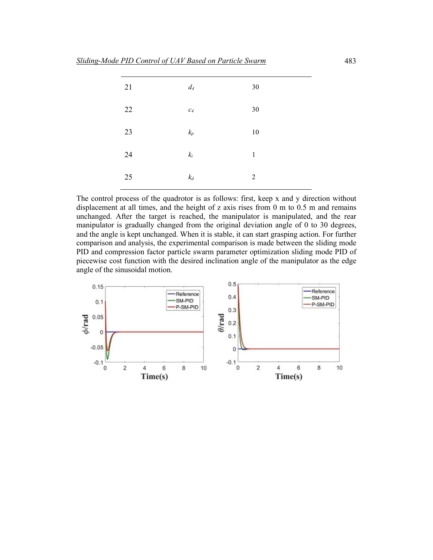| $d_4$<br>$30\,$<br>21                  |  |
|----------------------------------------|--|
| 22<br>$30\,$<br>$\mathcal{C}_{4}$      |  |
| 23<br>$k_{\it p}$<br>10                |  |
| 24<br>$\mathfrak{k}_i$<br>$\mathbf{1}$ |  |
| $k_d\,$<br>25<br>$\overline{2}$        |  |

The control process of the quadrotor is as follows: first, keep x and y direction without displacement at all times, and the height of z axis rises from 0 m to 0.5 m and remains unchanged. After the target is reached, the manipulator is manipulated, and the rear manipulator is gradually changed from the original deviation angle of 0 to 30 degrees, and the angle is kept unchanged. When it is stable, it can start grasping action. For further comparison and analysis, the experimental comparison is made between the sliding mode PID and compression factor particle swarm parameter optimization sliding mode PID of piecewise cost function with the desired inclination angle of the manipulator as the edge angle of the sinusoidal motion.

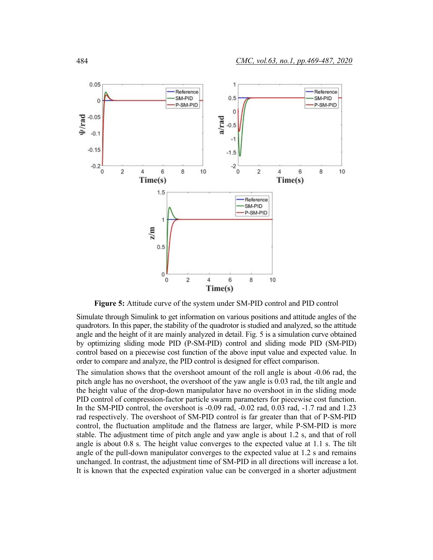

**Figure 5:** Attitude curve of the system under SM-PID control and PID control

Simulate through Simulink to get information on various positions and attitude angles of the quadrotors. In this paper, the stability of the quadrotor is studied and analyzed, so the attitude angle and the height of it are mainly analyzed in detail. Fig. 5 is a simulation curve obtained by optimizing sliding mode PID (P-SM-PID) control and sliding mode PID (SM-PID) control based on a piecewise cost function of the above input value and expected value. In order to compare and analyze, the PID control is designed for effect comparison.

The simulation shows that the overshoot amount of the roll angle is about -0.06 rad, the pitch angle has no overshoot, the overshoot of the yaw angle is 0.03 rad, the tilt angle and the height value of the drop-down manipulator have no overshoot in in the sliding mode PID control of compression-factor particle swarm parameters for piecewise cost function. In the SM-PID control, the overshoot is -0.09 rad, -0.02 rad, 0.03 rad, -1.7 rad and 1.23 rad respectively. The overshoot of SM-PID control is far greater than that of P-SM-PID control, the fluctuation amplitude and the flatness are larger, while P-SM-PID is more stable. The adjustment time of pitch angle and yaw angle is about 1.2 s, and that of roll angle is about 0.8 s. The height value converges to the expected value at 1.1 s. The tilt angle of the pull-down manipulator converges to the expected value at 1.2 s and remains unchanged. In contrast, the adjustment time of SM-PID in all directions will increase a lot. It is known that the expected expiration value can be converged in a shorter adjustment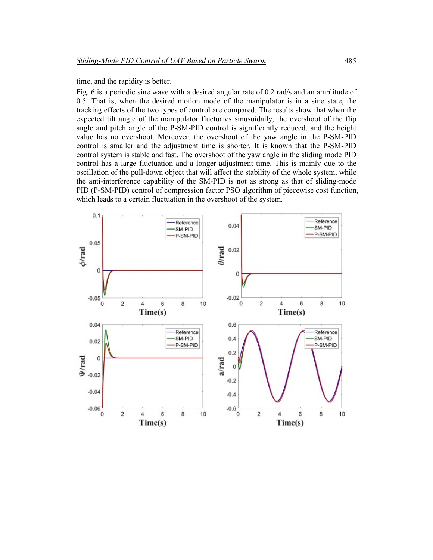time, and the rapidity is better.

Fig. 6 is a periodic sine wave with a desired angular rate of 0.2 rad/s and an amplitude of 0.5. That is, when the desired motion mode of the manipulator is in a sine state, the tracking effects of the two types of control are compared. The results show that when the expected tilt angle of the manipulator fluctuates sinusoidally, the overshoot of the flip angle and pitch angle of the P-SM-PID control is significantly reduced, and the height value has no overshoot. Moreover, the overshoot of the yaw angle in the P-SM-PID control is smaller and the adjustment time is shorter. It is known that the P-SM-PID control system is stable and fast. The overshoot of the yaw angle in the sliding mode PID control has a large fluctuation and a longer adjustment time. This is mainly due to the oscillation of the pull-down object that will affect the stability of the whole system, while the anti-interference capability of the SM-PID is not as strong as that of sliding-mode PID (P-SM-PID) control of compression factor PSO algorithm of piecewise cost function, which leads to a certain fluctuation in the overshoot of the system.

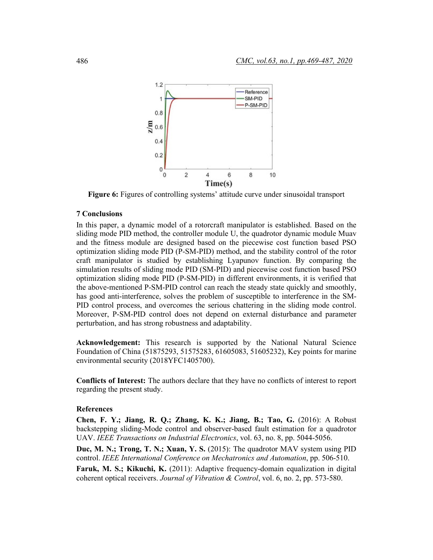

**Figure 6:** Figures of controlling systems' attitude curve under sinusoidal transport

# **7 Conclusions**

In this paper, a dynamic model of a rotorcraft manipulator is established. Based on the sliding mode PID method, the controller module U, the quadrotor dynamic module Muav and the fitness module are designed based on the piecewise cost function based PSO optimization sliding mode PID (P-SM-PID) method, and the stability control of the rotor craft manipulator is studied by establishing Lyapunov function. By comparing the simulation results of sliding mode PID (SM-PID) and piecewise cost function based PSO optimization sliding mode PID (P-SM-PID) in different environments, it is verified that the above-mentioned P-SM-PID control can reach the steady state quickly and smoothly, has good anti-interference, solves the problem of susceptible to interference in the SM-PID control process, and overcomes the serious chattering in the sliding mode control. Moreover, P-SM-PID control does not depend on external disturbance and parameter perturbation, and has strong robustness and adaptability.

**Acknowledgement:** This research is supported by the National Natural Science Foundation of China (51875293, 51575283, 61605083, 51605232), Key points for marine environmental security (2018YFC1405700).

**Conflicts of Interest:** The authors declare that they have no conflicts of interest to report regarding the present study.

### **References**

**Chen, F. Y.; Jiang, R. Q.; Zhang, K. K.; Jiang, B.; Tao, G.** (2016): A Robust backstepping sliding-Mode control and observer-based fault estimation for a quadrotor UAV. *IEEE Transactions on Industrial Electronics*, vol. 63, no. 8, pp. 5044-5056.

**Duc, M. N.; Trong, T. N.; Xuan, Y. S.** (2015): The quadrotor MAV system using PID control. *IEEE International Conference on Mechatronics and Automation*, pp. 506-510.

**Faruk, M. S.; Kikuchi, K.** (2011): Adaptive frequency-domain equalization in digital coherent optical receivers. *Journal of Vibration & Control*, vol. 6, no. 2, pp. 573-580.